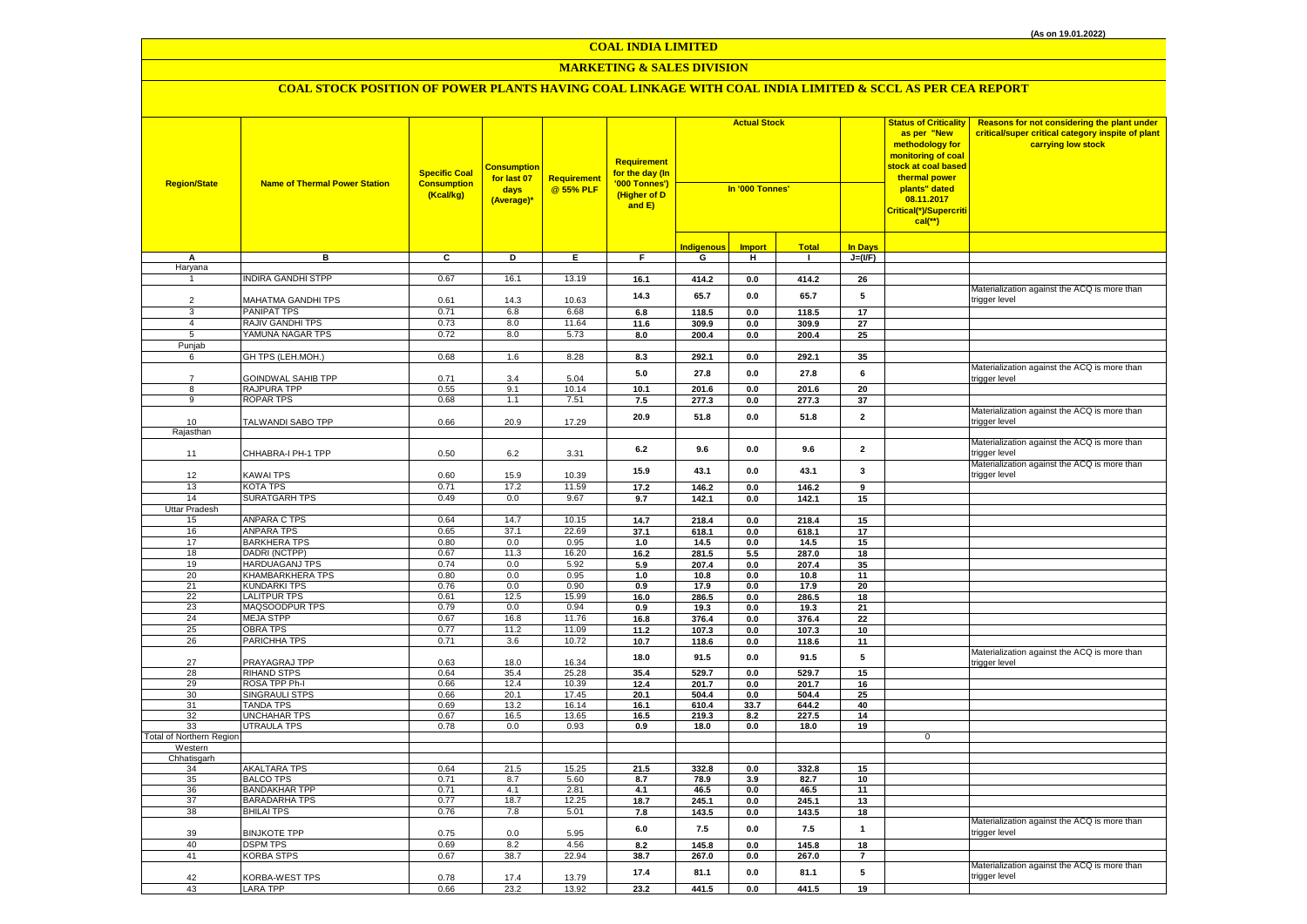## **MARKETING & SALES DIVISION**

| <b>Region/State</b>      | <b>Name of Thermal Power Station</b>         | <b>Specific Coal</b><br><b>Consumption</b><br>(Kcal/kg) | <mark>Consumption</mark><br>for last 07<br>days<br>(Average)* | Requirement<br>@ 55% PLF | <b>Requirement</b><br>for the day (In<br>'000 Tonnes')<br>(Higher of D<br>and E) | <b>Actual Stock</b><br>In '000 Tonnes' |                |                | <b>Status of Criticality</b><br>as per "New<br>methodology for<br>monitoring of coal<br><mark>stock at coal based</mark><br>thermal power<br>plants" dated<br>08.11.2017<br>Critical(*)/Supercriti<br>$cal$ (**) |             | Reasons for not considering the plant under<br>critical/super critical category inspite of plant<br>carrying low stock |
|--------------------------|----------------------------------------------|---------------------------------------------------------|---------------------------------------------------------------|--------------------------|----------------------------------------------------------------------------------|----------------------------------------|----------------|----------------|------------------------------------------------------------------------------------------------------------------------------------------------------------------------------------------------------------------|-------------|------------------------------------------------------------------------------------------------------------------------|
|                          |                                              |                                                         |                                                               |                          |                                                                                  | <b>Indigenous</b>                      | <b>Import</b>  | <b>Total</b>   | <b>In Days</b>                                                                                                                                                                                                   |             |                                                                                                                        |
| А                        | в                                            | C                                                       | D                                                             | Ε.                       | F.                                                                               | G                                      | н              | $\mathbf{I}$   | $J=(VF)$                                                                                                                                                                                                         |             |                                                                                                                        |
| Haryana                  |                                              |                                                         |                                                               |                          |                                                                                  |                                        |                |                |                                                                                                                                                                                                                  |             |                                                                                                                        |
|                          | <b>NDIRA GANDHI STPP</b>                     | 0.67                                                    | 16.1                                                          | 13.19                    | 16.1                                                                             | 414.2                                  | 0.0            | 414.2          | 26                                                                                                                                                                                                               |             | Materialization against the ACQ is more than                                                                           |
| $\overline{2}$           | MAHATMA GANDHI TPS                           | 0.61                                                    | 14.3                                                          | 10.63                    | 14.3                                                                             | 65.7                                   | 0.0            | 65.7           | 5                                                                                                                                                                                                                |             | trigger level                                                                                                          |
| 3                        | PANIPAT TPS                                  | 0.71                                                    | 6.8                                                           | 6.68                     | 6.8                                                                              | 118.5                                  | 0.0            | 118.5          | 17                                                                                                                                                                                                               |             |                                                                                                                        |
| $\overline{4}$           | <b>RAJIV GANDHI TPS</b>                      | 0.73                                                    | 8.0                                                           | 11.64                    | 11.6                                                                             | 309.9                                  | $0.0\,$        | 309.9          | 27                                                                                                                                                                                                               |             |                                                                                                                        |
| 5                        | YAMUNA NAGAR TPS                             | 0.72                                                    | 8.0                                                           | 5.73                     | 8.0                                                                              | 200.4                                  | $0.0\,$        | 200.4          | 25                                                                                                                                                                                                               |             |                                                                                                                        |
| Punjab                   |                                              |                                                         |                                                               |                          |                                                                                  |                                        |                |                |                                                                                                                                                                                                                  |             |                                                                                                                        |
| 6                        | GH TPS (LEH.MOH.)                            | 0.68                                                    | 1.6                                                           | 8.28                     | 8.3                                                                              | 292.1                                  | $\mathbf{0.0}$ | 292.1          | 35                                                                                                                                                                                                               |             |                                                                                                                        |
|                          |                                              |                                                         |                                                               |                          | 5.0                                                                              | 27.8                                   | $0.0\,$        | 27.8           | 6                                                                                                                                                                                                                |             | Materialization against the ACQ is more than                                                                           |
| $\overline{7}$           | GOINDWAL SAHIB TPP                           | 0.71                                                    | 3.4                                                           | 5.04                     |                                                                                  |                                        |                |                |                                                                                                                                                                                                                  |             | rigger level:                                                                                                          |
| 8<br>9                   | RAJPURA TPP                                  | 0.55                                                    | 9.1                                                           | 10.14                    | 10.1                                                                             | 201.6                                  | $0.0\,$        | 201.6          | 20                                                                                                                                                                                                               |             |                                                                                                                        |
|                          | <b>ROPAR TPS</b>                             | 0.68                                                    | 1.1                                                           | 7.51                     | 7.5                                                                              | 277.3                                  | $0.0\,$        | 277.3          | 37                                                                                                                                                                                                               |             | Materialization against the ACQ is more than                                                                           |
| 10                       | TALWANDI SABO TPP                            | 0.66                                                    | 20.9                                                          | 17.29                    | 20.9                                                                             | 51.8                                   | $0.0\,$        | 51.8           | $\mathbf 2$                                                                                                                                                                                                      |             | trigger level                                                                                                          |
| Rajasthan                |                                              |                                                         |                                                               |                          |                                                                                  |                                        |                |                |                                                                                                                                                                                                                  |             |                                                                                                                        |
| 11                       | CHHABRA-I PH-1 TPP                           | 0.50                                                    | 6.2                                                           | 3.31                     | 6.2                                                                              | 9.6                                    | 0.0            | 9.6            | $\overline{\mathbf{2}}$                                                                                                                                                                                          |             | Materialization against the ACQ is more than<br>rigger level                                                           |
|                          |                                              |                                                         |                                                               |                          | 15.9                                                                             | 43.1                                   | 0.0            | 43.1           | 3                                                                                                                                                                                                                |             | Materialization against the ACQ is more than                                                                           |
| 12                       | <b>KAWAI TPS</b>                             | 0.60                                                    | 15.9                                                          | 10.39                    |                                                                                  |                                        |                |                |                                                                                                                                                                                                                  |             | trigger level                                                                                                          |
| 13                       | <b>KOTA TPS</b>                              | 0.71                                                    | 17.2                                                          | 11.59                    | 17.2                                                                             | 146.2                                  | 0.0            | 146.2          | 9                                                                                                                                                                                                                |             |                                                                                                                        |
| 14                       | <b>SURATGARH TPS</b>                         | 0.49                                                    | 0.0                                                           | 9.67                     | 9.7                                                                              | 142.1                                  | 0.0            | 142.1          | 15                                                                                                                                                                                                               |             |                                                                                                                        |
| Uttar Pradesh<br>15      | ANPARA C TPS                                 | 0.64                                                    | 14.7                                                          | 10.15                    | 14.7                                                                             | 218.4                                  | 0.0            | 218.4          | 15                                                                                                                                                                                                               |             |                                                                                                                        |
| 16                       | ANPARA TPS                                   | 0.65                                                    | 37.1                                                          | 22.69                    | 37.1                                                                             | 618.1                                  | 0.0            | 618.1          | 17                                                                                                                                                                                                               |             |                                                                                                                        |
| 17                       | <b>BARKHERA TPS</b>                          | 0.80                                                    | 0.0                                                           | 0.95                     | 1.0                                                                              | 14.5                                   | 0.0            | 14.5           | 15                                                                                                                                                                                                               |             |                                                                                                                        |
| 18                       | DADRI (NCTPP)                                | 0.67                                                    | 11.3                                                          | 16.20                    | 16.2                                                                             | 281.5                                  | 5.5            | 287.0          | 18                                                                                                                                                                                                               |             |                                                                                                                        |
| 19                       | <b>HARDUAGANJ TPS</b>                        | 0.74                                                    | 0.0                                                           | 5.92                     | 5.9                                                                              | 207.4                                  | 0.0            | 207.4          | 35                                                                                                                                                                                                               |             |                                                                                                                        |
| 20                       | KHAMBARKHERA TPS                             | 0.80                                                    | 0.0                                                           | 0.95                     | 1.0                                                                              | 10.8                                   | $0.0\,$        | 10.8           | 11                                                                                                                                                                                                               |             |                                                                                                                        |
| 21                       | <b>KUNDARKI TPS</b>                          | 0.76                                                    | 0.0                                                           | 0.90                     | 0.9                                                                              | 17.9                                   | 0.0            | 17.9           | 20                                                                                                                                                                                                               |             |                                                                                                                        |
| 22                       | <b>LALITPUR TPS</b>                          | 0.61                                                    | 12.5                                                          | 15.99                    | 16.0                                                                             | 286.5                                  | $0.0\,$        | 286.5          | 18                                                                                                                                                                                                               |             |                                                                                                                        |
| 23                       | MAQSOODPUR TPS                               | 0.79                                                    | 0.0                                                           | 0.94                     | 0.9                                                                              | 19.3                                   | 0.0            | 19.3           | 21                                                                                                                                                                                                               |             |                                                                                                                        |
| 24<br>25                 | <b>MEJA STPP</b><br><b>OBRA TPS</b>          | 0.67<br>0.77                                            | 16.8<br>11.2                                                  | 11.76<br>11.09           | 16.8                                                                             | 376.4                                  | $\mathbf{0.0}$ | 376.4          | 22                                                                                                                                                                                                               |             |                                                                                                                        |
| 26                       | PARICHHA TPS                                 | 0.71                                                    | 3.6                                                           | 10.72                    | 11.2<br>10.7                                                                     | 107.3<br>118.6                         | $0.0\,$<br>0.0 | 107.3<br>118.6 | 10<br>11                                                                                                                                                                                                         |             |                                                                                                                        |
|                          |                                              |                                                         |                                                               |                          |                                                                                  |                                        |                |                |                                                                                                                                                                                                                  |             | Materialization against the ACQ is more than                                                                           |
| 27                       | PRAYAGRAJ TPP                                | 0.63                                                    | 18.0                                                          | 16.34                    | 18.0                                                                             | 91.5                                   | 0.0            | 91.5           | 5                                                                                                                                                                                                                |             | rigger level                                                                                                           |
| 28                       | <b>RIHAND STPS</b>                           | 0.64                                                    | 35.4                                                          | 25.28                    | 35.4                                                                             | 529.7                                  | 0.0            | 529.7          | 15                                                                                                                                                                                                               |             |                                                                                                                        |
| 29                       | ROSA TPP Ph-I                                | 0.66                                                    | 12.4                                                          | 10.39                    | 12.4                                                                             | 201.7                                  | 0.0            | 201.7          | 16                                                                                                                                                                                                               |             |                                                                                                                        |
| 30                       | <b>SINGRAULI STPS</b>                        | 0.66                                                    | 20.1                                                          | 17.45                    | 20.1                                                                             | 504.4                                  | $0.0\,$        | 504.4          | 25                                                                                                                                                                                                               |             |                                                                                                                        |
| 31<br>32                 | <b>TANDA TPS</b><br><b>UNCHAHAR TPS</b>      | 0.69<br>0.67                                            | 13.2<br>16.5                                                  | 16.14<br>13.65           | 16.1<br>16.5                                                                     | 610.4<br>219.3                         | 33.7<br>8.2    | 644.2<br>227.5 | 40<br>14                                                                                                                                                                                                         |             |                                                                                                                        |
| 33                       | UTRAULA TPS                                  | 0.78                                                    | 0.0                                                           | 0.93                     | 0.9                                                                              | 18.0                                   | 0.0            | 18.0           | 19                                                                                                                                                                                                               |             |                                                                                                                        |
| Total of Northern Region |                                              |                                                         |                                                               |                          |                                                                                  |                                        |                |                |                                                                                                                                                                                                                  | $\mathbf 0$ |                                                                                                                        |
| Western                  |                                              |                                                         |                                                               |                          |                                                                                  |                                        |                |                |                                                                                                                                                                                                                  |             |                                                                                                                        |
| Chhatisgarh              |                                              |                                                         |                                                               |                          |                                                                                  |                                        |                |                |                                                                                                                                                                                                                  |             |                                                                                                                        |
| 34                       | AKALTARA TPS                                 | 0.64                                                    | 21.5                                                          | 15.25                    | 21.5                                                                             | 332.8                                  | 0.0            | 332.8          | 15                                                                                                                                                                                                               |             |                                                                                                                        |
| 35                       | <b>BALCO TPS</b>                             | 0.71                                                    | 8.7                                                           | 5.60                     | 8.7                                                                              | 78.9                                   | 3.9            | 82.7           | 10                                                                                                                                                                                                               |             |                                                                                                                        |
| 36<br>37                 | <b>BANDAKHAR TPP</b><br><b>BARADARHA TPS</b> | 0.71<br>0.77                                            | 4.1<br>18.7                                                   | 2.81<br>12.25            | 4.1                                                                              | 46.5<br>245.1                          | 0.0            | 46.5<br>245.1  | 11<br>13                                                                                                                                                                                                         |             |                                                                                                                        |
| 38                       | <b>BHILAI TPS</b>                            | 0.76                                                    | 7.8                                                           | 5.01                     | 18.7<br>7.8                                                                      | 143.5                                  | 0.0<br>$0.0\,$ | 143.5          | 18                                                                                                                                                                                                               |             |                                                                                                                        |
| 39                       | <b>BINJKOTE TPP</b>                          | 0.75                                                    | 0.0                                                           | 5.95                     | $6.0\,$                                                                          | 7.5                                    | 0.0            | 7.5            | $\mathbf{1}$                                                                                                                                                                                                     |             | Materialization against the ACQ is more than<br>trigger level                                                          |
| 40                       | <b>DSPM TPS</b>                              | 0.69                                                    | 8.2                                                           | 4.56                     | 8.2                                                                              | 145.8                                  | 0.0            | 145.8          | 18                                                                                                                                                                                                               |             |                                                                                                                        |
| 41                       | <b>KORBA STPS</b>                            | 0.67                                                    | 38.7                                                          | 22.94                    | 38.7                                                                             | 267.0                                  | $0.0\,$        | 267.0          | $\overline{7}$                                                                                                                                                                                                   |             |                                                                                                                        |
| 42                       | KORBA-WEST TPS                               | 0.78                                                    | 17.4                                                          | 13.79                    | 17.4                                                                             | 81.1                                   | 0.0            | 81.1           | 5                                                                                                                                                                                                                |             | Materialization against the ACQ is more than<br>trigger level                                                          |
| 43                       | <b>LARA TPP</b>                              | 0.66                                                    | 23.2                                                          | 13.92                    | 23.2                                                                             | 441.5                                  | 0.0            | 441.5          | 19                                                                                                                                                                                                               |             |                                                                                                                        |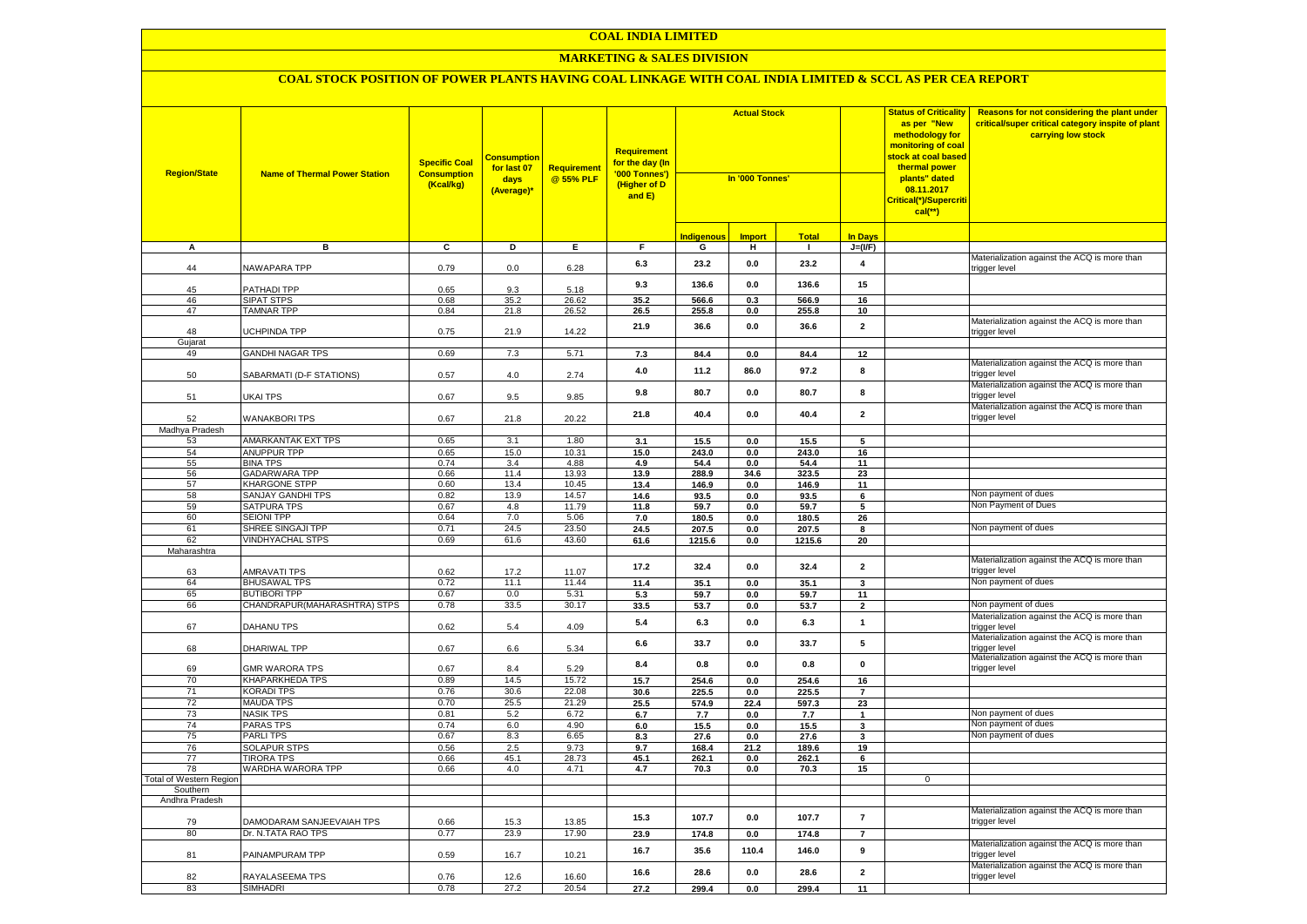#### **MARKETING & SALES DIVISION**

| <b>Region/State</b>            | <b>Name of Thermal Power Station</b>           | <b>Specific Coal</b><br><b>Consumption</b><br>(Kcal/kg) | <b>Consumption</b><br>for last 07<br>days<br>(Average)* | Requirement<br>@ 55% PLF | Requirement<br>f <mark>or the day (In</mark><br>'000 Tonnes')<br>(Higher of D<br>and E) | <b>Actual Stock</b><br>In '000 Tonnes' |               |                |                         | <b>Status of Criticality</b><br>as per "New<br>methodology for<br>monitoring of coal<br>stock at coal based<br>thermal power<br>plants" dated<br>08.11.2017<br>Critical(*)/Supercriti<br>$cal$ (**) | Reasons for not considering the plant under<br>critical/super critical category inspite of plant<br>carrying low stock |
|--------------------------------|------------------------------------------------|---------------------------------------------------------|---------------------------------------------------------|--------------------------|-----------------------------------------------------------------------------------------|----------------------------------------|---------------|----------------|-------------------------|-----------------------------------------------------------------------------------------------------------------------------------------------------------------------------------------------------|------------------------------------------------------------------------------------------------------------------------|
|                                |                                                |                                                         |                                                         |                          |                                                                                         | <b>Indigenous</b>                      | <b>Import</b> | <b>Total</b>   | <b>In Days</b>          |                                                                                                                                                                                                     |                                                                                                                        |
| А                              | в                                              | $\overline{c}$                                          | Þ                                                       | E                        | $\overline{F}$                                                                          | G                                      | н             | $\blacksquare$ | $J=(VF)$                |                                                                                                                                                                                                     |                                                                                                                        |
| 44                             | <b>NAWAPARA TPP</b>                            | 0.79                                                    | 0.0                                                     | 6.28                     | 6.3                                                                                     | 23.2                                   | 0.0           | 23.2           | $\overline{\mathbf{4}}$ |                                                                                                                                                                                                     | Materialization against the ACQ is more than<br>rigger level                                                           |
| 45                             | PATHADI TPP                                    | 0.65                                                    | 9.3                                                     | 5.18                     | 9.3                                                                                     | 136.6                                  | 0.0           | 136.6          | 15                      |                                                                                                                                                                                                     |                                                                                                                        |
| 46                             | <b>SIPAT STPS</b>                              | 0.68                                                    | 35.2                                                    | 26.62                    | 35.2                                                                                    | 566.6                                  | 0.3           | 566.9          | 16                      |                                                                                                                                                                                                     |                                                                                                                        |
| 47                             | <b>TAMNAR TPP</b>                              | 0.84                                                    | 21.8                                                    | $26.\overline{52}$       | 26.5                                                                                    | 255.8                                  | 0.0           | 255.8          | 10 <sup>1</sup>         |                                                                                                                                                                                                     |                                                                                                                        |
| 48<br>Gujarat                  | UCHPINDA TPP                                   | 0.75                                                    | 21.9                                                    | 14.22                    | 21.9                                                                                    | 36.6                                   | 0.0           | 36.6           | $\overline{2}$          |                                                                                                                                                                                                     | Materialization against the ACQ is more than<br>trigger level                                                          |
| 49                             | <b>GANDHI NAGAR TPS</b>                        | 0.69                                                    | 7.3                                                     | 5.71                     | 7.3                                                                                     | 84.4                                   | 0.0           | 84.4           | 12                      |                                                                                                                                                                                                     |                                                                                                                        |
| 50                             | SABARMATI (D-F STATIONS)                       | 0.57                                                    | 4.0                                                     | 2.74                     | 4.0                                                                                     | 11.2                                   | 86.0          | 97.2           | 8                       |                                                                                                                                                                                                     | Materialization against the ACQ is more than<br>trigger level                                                          |
| 51                             | UKAI TPS                                       | 0.67                                                    | 9.5                                                     | 9.85                     | 9.8                                                                                     | 80.7                                   | 0.0           | 80.7           | 8                       |                                                                                                                                                                                                     | Materialization against the ACQ is more than<br>rigger level:                                                          |
| 52                             | <b>WANAKBORI TPS</b>                           | 0.67                                                    | 21.8                                                    | 20.22                    | 21.8                                                                                    | 40.4                                   | 0.0           | 40.4           | $\overline{\mathbf{2}}$ |                                                                                                                                                                                                     | Materialization against the ACQ is more than<br>trigger level                                                          |
| Madhya Pradesh                 |                                                |                                                         |                                                         |                          |                                                                                         |                                        |               |                |                         |                                                                                                                                                                                                     |                                                                                                                        |
| 53                             | <b>AMARKANTAK EXT TPS</b>                      | 0.65                                                    | 3.1                                                     | 1.80                     | 3.1                                                                                     | 15.5                                   | 0.0           | 15.5           | 5                       |                                                                                                                                                                                                     |                                                                                                                        |
| 54                             | <b>ANUPPUR TPP</b>                             | 0.65                                                    | 15.0                                                    | 10.31                    | 15.0                                                                                    | 243.0                                  | 0.0           | 243.0          | 16                      |                                                                                                                                                                                                     |                                                                                                                        |
| 55                             | <b>BINA TPS</b>                                | 0.74                                                    | 3.4                                                     | 4.88                     | 4.9                                                                                     | 54.4                                   | 0.0           | 54.4           | 11                      |                                                                                                                                                                                                     |                                                                                                                        |
| 56                             | <b>GADARWARA TPP</b>                           | 0.66                                                    | 11.4                                                    | 13.93                    | 13.9                                                                                    | 288.9                                  | 34.6          | 323.5          | 23                      |                                                                                                                                                                                                     |                                                                                                                        |
| 57                             | <b>KHARGONE STPP</b>                           | 0.60                                                    | 13.4                                                    | 10.45                    | 13.4                                                                                    | 146.9                                  | 0.0           | 146.9          | 11                      |                                                                                                                                                                                                     |                                                                                                                        |
| 58<br>59                       | <b>SANJAY GANDHI TPS</b><br><b>SATPURA TPS</b> | 0.82                                                    | 13.9                                                    | 14.57                    | 14.6                                                                                    | 93.5                                   | 0.0           | 93.5           | 6                       |                                                                                                                                                                                                     | Non payment of dues<br>Non Payment of Dues                                                                             |
| 60                             | <b>SEIONI TPP</b>                              | 0.67<br>0.64                                            | 4.8<br>7.0                                              | 11.79<br>5.06            | 11.8                                                                                    | 59.7<br>180.5                          | 0.0<br>0.0    | 59.7<br>180.5  | $\overline{5}$          |                                                                                                                                                                                                     |                                                                                                                        |
| 61                             | SHREE SINGAJI TPP                              | 0.71                                                    | 24.5                                                    | 23.50                    | 7.0<br>24.5                                                                             | 207.5                                  | 0.0           | 207.5          | 26<br>8                 |                                                                                                                                                                                                     | Non payment of dues                                                                                                    |
| 62                             | <b>VINDHYACHAL STPS</b>                        | 0.69                                                    | 61.6                                                    | 43.60                    | 61.6                                                                                    | 1215.6                                 | $0.0\,$       | 1215.6         | 20                      |                                                                                                                                                                                                     |                                                                                                                        |
| Maharashtra                    |                                                |                                                         |                                                         |                          |                                                                                         |                                        |               |                |                         |                                                                                                                                                                                                     |                                                                                                                        |
| 63                             | <b>AMRAVATI TPS</b>                            | 0.62                                                    | 17.2                                                    | 11.07                    | 17.2                                                                                    | 32.4                                   | 0.0           | 32.4           | $\overline{\mathbf{2}}$ |                                                                                                                                                                                                     | Materialization against the ACQ is more than<br>rigger level:                                                          |
| 64                             | <b>BHUSAWAL TPS</b>                            | 0.72                                                    | 11.1                                                    | 11.44                    | 11.4                                                                                    | 35.1                                   | $0.0\,$       | 35.1           | 3                       |                                                                                                                                                                                                     | Non payment of dues                                                                                                    |
| 65                             | <b>BUTIBORI TPP</b>                            | 0.67                                                    | 0.0                                                     | 5.31                     | 5.3                                                                                     | 59.7                                   | 0.0           | 59.7           | 11                      |                                                                                                                                                                                                     |                                                                                                                        |
| 66                             | CHANDRAPUR (MAHARASHTRA) STPS                  | 0.78                                                    | 33.5                                                    | 30.17                    | 33.5                                                                                    | 53.7                                   | 0.0           | 53.7           | $\overline{2}$          |                                                                                                                                                                                                     | Non payment of dues                                                                                                    |
| 67                             | DAHANU TPS                                     | 0.62                                                    | 5.4                                                     | 4.09                     | 5.4                                                                                     | 6.3                                    | 0.0           | 6.3            | $\mathbf{1}$            |                                                                                                                                                                                                     | Materialization against the ACQ is more than<br>trigger level                                                          |
| 68                             | DHARIWAL TPP                                   | 0.67                                                    | 6.6                                                     | 5.34                     | 6.6                                                                                     | 33.7                                   | 0.0           | 33.7           | 5                       |                                                                                                                                                                                                     | Materialization against the ACQ is more than<br>trigger level                                                          |
| 69                             | <b>GMR WARORA TPS</b>                          | 0.67                                                    | 8.4                                                     | 5.29                     | 8.4                                                                                     | 0.8                                    | 0.0           | 0.8            | $\mathbf 0$             |                                                                                                                                                                                                     | Materialization against the ACQ is more than<br>trigger level                                                          |
| 70                             | <b>KHAPARKHEDA TPS</b>                         | 0.89                                                    | 14.5                                                    | 15.72                    | 15.7                                                                                    | 254.6                                  | 0.0           | 254.6          | 16                      |                                                                                                                                                                                                     |                                                                                                                        |
| 71                             | <b>KORADI TPS</b>                              | 0.76                                                    | 30.6                                                    | 22.08                    | 30.6                                                                                    | 225.5                                  | $0.0\,$       | 225.5          | $\overline{7}$          |                                                                                                                                                                                                     |                                                                                                                        |
| 72                             | <b>MAUDA TPS</b>                               | 0.70                                                    | 25.5                                                    | 21.29                    | 25.5                                                                                    | 574.9                                  | 22.4          | 597.3          | 23                      |                                                                                                                                                                                                     |                                                                                                                        |
| 73<br>74                       | <b>NASIK TPS</b><br><b>PARAS TPS</b>           | 0.81<br>0.74                                            | 5.2<br>6.0                                              | 6.72<br>4.90             | 6.7                                                                                     | 7.7                                    | 0.0           | 7.7            | $\mathbf 1$             |                                                                                                                                                                                                     | Non payment of dues<br>Non payment of dues                                                                             |
| 75                             | <b>PARLITPS</b>                                | 0.67                                                    | 8.3                                                     | 6.65                     | 6.0<br>8.3                                                                              | 15.5<br>27.6                           | 0.0<br>0.0    | 15.5<br>27.6   | 3<br>3                  |                                                                                                                                                                                                     | Non payment of dues                                                                                                    |
| 76                             | <b>SOLAPUR STPS</b>                            | 0.56                                                    | 2.5                                                     | 9.73                     | 9.7                                                                                     | 168.4                                  | 21.2          | 189.6          | 19                      |                                                                                                                                                                                                     |                                                                                                                        |
| 77                             | <b>TIRORA TPS</b>                              | 0.66                                                    | 45.1                                                    | 28.73                    | 45.1                                                                                    | 262.1                                  | 0.0           | 262.1          | 6                       |                                                                                                                                                                                                     |                                                                                                                        |
| 78                             | WARDHA WARORA TPP                              | 0.66                                                    | 4.0                                                     | 4.71                     | 4.7                                                                                     | 70.3                                   | 0.0           | 70.3           | 15                      |                                                                                                                                                                                                     |                                                                                                                        |
| <b>Total of Western Region</b> |                                                |                                                         |                                                         |                          |                                                                                         |                                        |               |                |                         | $\mathbf 0$                                                                                                                                                                                         |                                                                                                                        |
| Southern                       |                                                |                                                         |                                                         |                          |                                                                                         |                                        |               |                |                         |                                                                                                                                                                                                     |                                                                                                                        |
| Andhra Pradesh                 |                                                |                                                         |                                                         |                          |                                                                                         |                                        |               |                |                         |                                                                                                                                                                                                     |                                                                                                                        |
| 79                             | DAMODARAM SANJEEVAIAH TPS                      | 0.66                                                    | 15.3                                                    | 13.85                    | 15.3                                                                                    | 107.7                                  | 0.0           | 107.7          | $\overline{7}$          |                                                                                                                                                                                                     | Materialization against the ACQ is more than<br>trigger level                                                          |
| 80                             | Dr. N.TATA RAO TPS                             | 0.77                                                    | 23.9                                                    | 17.90                    | 23.9                                                                                    | 174.8                                  | 0.0           | 174.8          | $\overline{7}$          |                                                                                                                                                                                                     |                                                                                                                        |
| 81                             | PAINAMPURAM TPP                                | 0.59                                                    | 16.7                                                    | 10.21                    | 16.7                                                                                    | 35.6                                   | 110.4         | 146.0          | 9                       |                                                                                                                                                                                                     | Materialization against the ACQ is more than<br>rigger level                                                           |
| 82                             | RAYALASEEMA TPS                                | 0.76                                                    | 12.6                                                    | 16.60                    | 16.6                                                                                    | 28.6                                   | 0.0           | 28.6           | $\mathbf 2$             |                                                                                                                                                                                                     | Materialization against the ACQ is more than<br>trigger level                                                          |
| 83                             | <b>SIMHADRI</b>                                | 0.78                                                    | 27.2                                                    | 20.54                    | 27.2                                                                                    | 299.4                                  | 0.0           | 299.4          | 11                      |                                                                                                                                                                                                     |                                                                                                                        |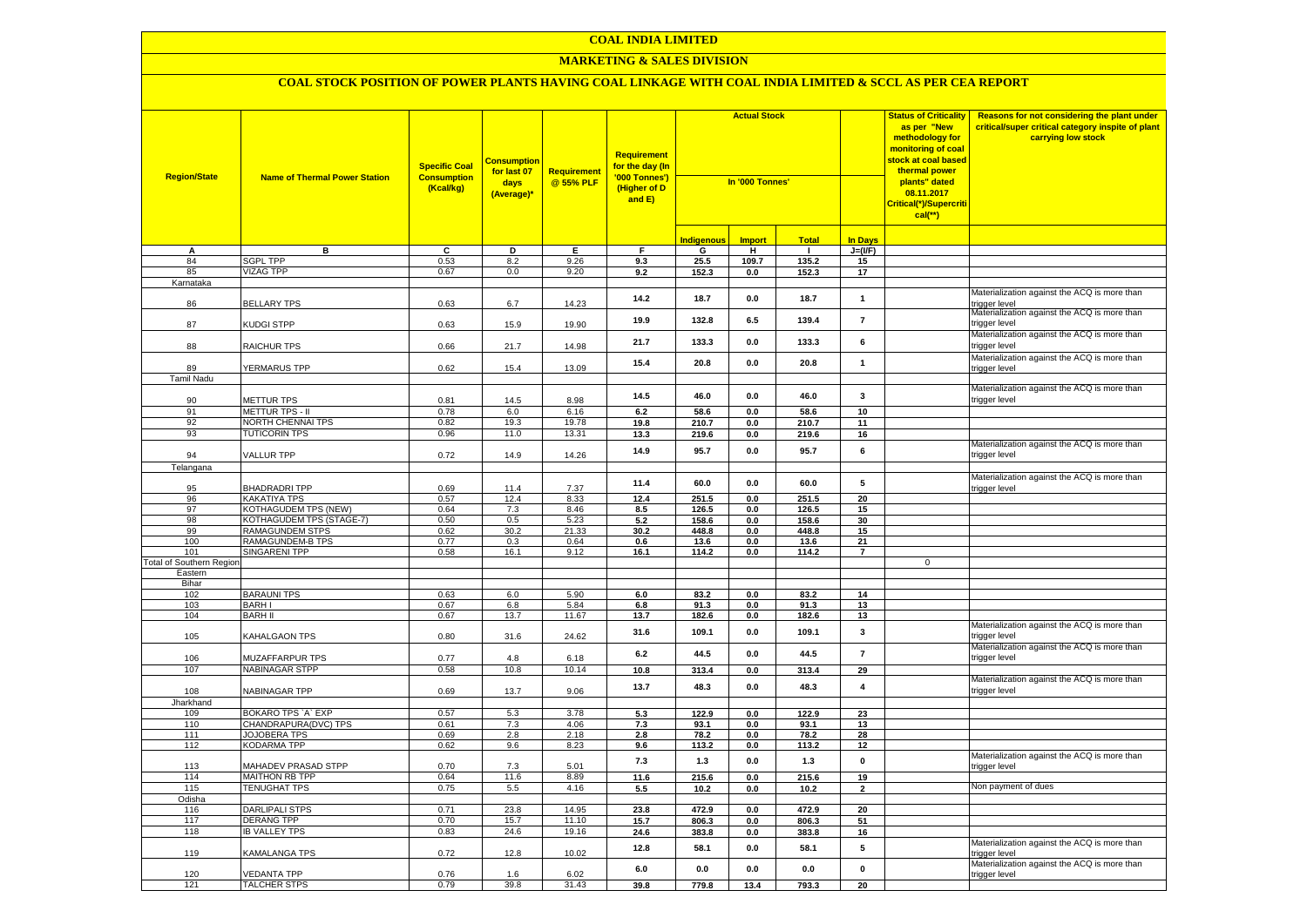#### **MARKETING & SALES DIVISION**

| <b>Region/State</b>             | <b>Name of Thermal Power Station</b>        | <b>Specific Coal</b><br><b>Consumption</b><br>(Kcal/kg) | <u>Consumptior</u><br>for last 07<br>days<br>(Average)* | Requirement<br>@ 55% PLF | <b>Requirement</b><br><mark>for the day (In</mark><br>'000 Tonnes')<br>(Higher of D<br>and E) |                   | <b>Actual Stock</b><br>In '000 Tonnes' |                |                |             | <b>Status of Criticality</b><br>as per "New<br>methodology for<br>monitoring of coal<br><mark>stock at coal based</mark><br>thermal power<br>plants" dated<br>08.11.2017<br>Critical(*)/Supercriti<br>$cal(**)$ | Reasons for not considering the plant under<br>critical/super critical category inspite of plant<br>carrying low stock |
|---------------------------------|---------------------------------------------|---------------------------------------------------------|---------------------------------------------------------|--------------------------|-----------------------------------------------------------------------------------------------|-------------------|----------------------------------------|----------------|----------------|-------------|-----------------------------------------------------------------------------------------------------------------------------------------------------------------------------------------------------------------|------------------------------------------------------------------------------------------------------------------------|
|                                 |                                             |                                                         |                                                         |                          |                                                                                               | <b>Indigenous</b> | <b>Import</b>                          | <b>Total</b>   | <b>In Days</b> |             |                                                                                                                                                                                                                 |                                                                                                                        |
| А                               | в                                           | c                                                       | Þ                                                       | Ε                        | F                                                                                             | G                 | Ŧ                                      | ℸ              | $J=(VF)$       |             |                                                                                                                                                                                                                 |                                                                                                                        |
| 84                              | <b>SGPL TPP</b>                             | 0.53                                                    | 8.2                                                     | 9.26                     | 9.3                                                                                           | 25.5              | 109.7                                  | 135.2          | 15             |             |                                                                                                                                                                                                                 |                                                                                                                        |
| 85                              | <b>VIZAG TPP</b>                            | 0.67                                                    | 0.0                                                     | 9.20                     | 9.2                                                                                           | 152.3             | 0.0                                    | 152.3          | 17             |             |                                                                                                                                                                                                                 |                                                                                                                        |
| Karnataka                       |                                             |                                                         |                                                         |                          |                                                                                               |                   |                                        |                |                |             |                                                                                                                                                                                                                 |                                                                                                                        |
| 86                              | <b>BELLARY TPS</b>                          | 0.63                                                    | 6.7                                                     | 14.23                    | 14.2                                                                                          | 18.7              | 0.0                                    | 18.7           | $\mathbf{1}$   |             | Materialization against the ACQ is more than<br>rigger level                                                                                                                                                    |                                                                                                                        |
| 87                              | KUDGI STPP                                  | 0.63                                                    | 15.9                                                    | 19.90                    | 19.9                                                                                          | 132.8             | 6.5                                    | 139.4          | $\overline{7}$ |             | Materialization against the ACQ is more than<br>trigger level                                                                                                                                                   |                                                                                                                        |
| 88                              | RAICHUR TPS                                 | 0.66                                                    | 21.7                                                    | 14.98                    | 21.7                                                                                          | 133.3             | 0.0                                    | 133.3          | 6              |             | Materialization against the ACQ is more than<br>rigger level                                                                                                                                                    |                                                                                                                        |
| 89                              | YERMARUS TPP                                | 0.62                                                    | 15.4                                                    | 13.09                    | 15.4                                                                                          | 20.8              | $0.0\,$                                | 20.8           | $\mathbf{1}$   |             | Materialization against the ACQ is more than<br>rigger level                                                                                                                                                    |                                                                                                                        |
| <b>Tamil Nadu</b>               |                                             |                                                         |                                                         |                          |                                                                                               |                   |                                        |                |                |             |                                                                                                                                                                                                                 |                                                                                                                        |
| 90                              | METTUR TPS                                  | 0.81                                                    | 14.5                                                    | 8.98                     | 14.5                                                                                          | 46.0              | 0.0                                    | 46.0           | $\mathbf{3}$   |             | Materialization against the ACQ is more than<br>trigger level                                                                                                                                                   |                                                                                                                        |
| 91                              | <b>METTUR TPS - II</b>                      | 0.78                                                    | 6.0                                                     | 6.16                     | 6.2                                                                                           | 58.6              | 0.0                                    | 58.6           | 10             |             |                                                                                                                                                                                                                 |                                                                                                                        |
| 92                              | NORTH CHENNAI TPS                           | 0.82                                                    | 19.3                                                    | 19.78                    | 19.8                                                                                          | 210.7             | $0.0\,$                                | 210.7          | 11             |             |                                                                                                                                                                                                                 |                                                                                                                        |
| 93                              | <b>TUTICORIN TPS</b>                        | 0.96                                                    | 11.0                                                    | 13.31                    | 13.3                                                                                          | 219.6             | 0.0                                    | 219.6          | 16             |             |                                                                                                                                                                                                                 |                                                                                                                        |
| 94                              | VALLUR TPP                                  | 0.72                                                    | 14.9                                                    | 14.26                    | 14.9                                                                                          | 95.7              | 0.0                                    | 95.7           | 6              |             | Materialization against the ACQ is more than<br>rigger level                                                                                                                                                    |                                                                                                                        |
| Telangana                       |                                             |                                                         |                                                         |                          |                                                                                               |                   |                                        |                |                |             |                                                                                                                                                                                                                 |                                                                                                                        |
|                                 |                                             |                                                         |                                                         |                          | 11.4                                                                                          | 60.0              | 0.0                                    | 60.0           | 5              |             | Materialization against the ACQ is more than                                                                                                                                                                    |                                                                                                                        |
| 95                              | <b>BHADRADRITPP</b>                         | 0.69                                                    | 11.4                                                    | 7.37                     |                                                                                               |                   |                                        |                |                |             | rigger level                                                                                                                                                                                                    |                                                                                                                        |
| 96                              | <b>KAKATIYA TPS</b>                         | 0.57                                                    | 12.4                                                    | 8.33                     | 12.4                                                                                          | 251.5             | 0.0                                    | 251.5          | 20             |             |                                                                                                                                                                                                                 |                                                                                                                        |
| 97                              | <b>KOTHAGUDEM TPS (NEW)</b>                 | 0.64                                                    | 7.3                                                     | 8.46                     | 8.5                                                                                           | 126.5             | 0.0                                    | 126.5          | 15             |             |                                                                                                                                                                                                                 |                                                                                                                        |
| 98<br>99                        | KOTHAGUDEM TPS (STAGE-7)<br>RAMAGUNDEM STPS | 0.50                                                    | 0.5<br>30.2                                             | 5.23                     | 5.2                                                                                           | 158.6<br>448.8    | $0.0\,$<br>$0.0\,$                     | 158.6<br>448.8 | 30             |             |                                                                                                                                                                                                                 |                                                                                                                        |
| 100                             | RAMAGUNDEM-B TPS                            | 0.62<br>0.77                                            | 0.3                                                     | 21.33<br>0.64            | 30.2<br>0.6                                                                                   | 13.6              | $0.0\,$                                | 13.6           | 15<br>21       |             |                                                                                                                                                                                                                 |                                                                                                                        |
| 101                             | <b>SINGARENI TPP</b>                        | 0.58                                                    | 16.1                                                    | 9.12                     | 16.1                                                                                          | 114.2             | 0.0                                    | 114.2          | $\overline{7}$ |             |                                                                                                                                                                                                                 |                                                                                                                        |
| <b>Total of Southern Region</b> |                                             |                                                         |                                                         |                          |                                                                                               |                   |                                        |                |                | $\mathbf 0$ |                                                                                                                                                                                                                 |                                                                                                                        |
| Eastern                         |                                             |                                                         |                                                         |                          |                                                                                               |                   |                                        |                |                |             |                                                                                                                                                                                                                 |                                                                                                                        |
| Bihar                           |                                             |                                                         |                                                         |                          |                                                                                               |                   |                                        |                |                |             |                                                                                                                                                                                                                 |                                                                                                                        |
| 102                             | <b>BARAUNI TPS</b>                          | 0.63                                                    | 6.0                                                     | 5.90                     | 6.0                                                                                           | 83.2              | 0.0                                    | 83.2           | 14             |             |                                                                                                                                                                                                                 |                                                                                                                        |
| 103                             | <b>BARHI</b>                                | 0.67                                                    | 6.8                                                     | 5.84                     | 6.8                                                                                           | 91.3              | 0.0                                    | 91.3           | 13             |             |                                                                                                                                                                                                                 |                                                                                                                        |
| 104                             | <b>BARH II</b>                              | 0.67                                                    | 13.7                                                    | 11.67                    | 13.7                                                                                          | 182.6             | 0.0                                    | 182.6          | 13             |             | Materialization against the ACQ is more than                                                                                                                                                                    |                                                                                                                        |
| 105                             | KAHALGAON TPS                               | 0.80                                                    | 31.6                                                    | 24.62                    | 31.6                                                                                          | 109.1             | 0.0                                    | 109.1          | 3              |             | trigger level                                                                                                                                                                                                   |                                                                                                                        |
| 106                             | MUZAFFARPUR TPS                             | 0.77                                                    | 4.8                                                     | 6.18                     | $\bf 6.2$                                                                                     | 44.5              | 0.0                                    | 44.5           | $\overline{7}$ |             | Materialization against the ACQ is more than<br>trigger level                                                                                                                                                   |                                                                                                                        |
| 107                             | <b>NABINAGAR STPP</b>                       | 0.58                                                    | 10.8                                                    | 10.14                    | 10.8                                                                                          | 313.4             | $\mathbf{0.0}$                         | 313.4          | 29             |             |                                                                                                                                                                                                                 |                                                                                                                        |
| 108                             | NABINAGAR TPP                               | 0.69                                                    | 13.7                                                    | 9.06                     | 13.7                                                                                          | 48.3              | 0.0                                    | 48.3           | $\pmb{4}$      |             | Materialization against the ACQ is more than<br>rigger level                                                                                                                                                    |                                                                                                                        |
| Jharkhand                       |                                             |                                                         |                                                         |                          |                                                                                               |                   |                                        |                |                |             |                                                                                                                                                                                                                 |                                                                                                                        |
| 109                             | BOKARO TPS `A` EXP                          | 0.57                                                    | 5.3                                                     | 3.78                     | 5.3                                                                                           | 122.9             | 0.0                                    | 122.9          | 23             |             |                                                                                                                                                                                                                 |                                                                                                                        |
| 110<br>111                      | CHANDRAPURA(DVC) TPS<br><b>JOJOBERA TPS</b> | 0.61<br>0.69                                            | 7.3<br>2.8                                              | 4.06<br>2.18             | 7.3<br>2.8                                                                                    | 93.1<br>78.2      | 0.0<br>0.0                             | 93.1<br>78.2   | 13<br>28       |             |                                                                                                                                                                                                                 |                                                                                                                        |
| 112                             | KODARMA TPP                                 | 0.62                                                    | 9.6                                                     | 8.23                     | 9.6                                                                                           | 113.2             | 0.0                                    | 113.2          | 12             |             |                                                                                                                                                                                                                 |                                                                                                                        |
| 113                             | <b>MAHADEV PRASAD STPP</b>                  | 0.70                                                    | 7.3                                                     | 5.01                     | 7.3                                                                                           | $1.3$             | 0.0                                    | $1.3$          | $\pmb{0}$      |             | Materialization against the ACQ is more than<br>rigger level                                                                                                                                                    |                                                                                                                        |
| 114                             | MAITHON RB TPP                              | 0.64                                                    | 11.6                                                    | 8.89                     | 11.6                                                                                          | 215.6             | 0.0                                    | 215.6          | 19             |             |                                                                                                                                                                                                                 |                                                                                                                        |
| 115                             | <b>TENUGHAT TPS</b>                         | 0.75                                                    | 5.5                                                     | 4.16                     | 5.5                                                                                           | 10.2              | 0.0                                    | 10.2           | $\overline{2}$ |             | Non payment of dues                                                                                                                                                                                             |                                                                                                                        |
| Odisha                          |                                             |                                                         |                                                         |                          |                                                                                               |                   |                                        |                |                |             |                                                                                                                                                                                                                 |                                                                                                                        |
| 116                             | <b>DARLIPALI STPS</b>                       | 0.71                                                    | 23.8                                                    | 14.95                    | 23.8                                                                                          | 472.9             | 0.0                                    | 472.9          | 20             |             |                                                                                                                                                                                                                 |                                                                                                                        |
| 117                             | <b>DERANG TPP</b>                           | 0.70                                                    | 15.7                                                    | 11.10                    | 15.7                                                                                          | 806.3             | 0.0                                    | 806.3          | 51             |             |                                                                                                                                                                                                                 |                                                                                                                        |
| 118                             | <b>IB VALLEY TPS</b>                        | 0.83                                                    | 24.6                                                    | 19.16                    | 24.6                                                                                          | 383.8             | 0.0                                    | 383.8          | 16             |             |                                                                                                                                                                                                                 |                                                                                                                        |
| 119                             | KAMALANGA TPS                               | 0.72                                                    | 12.8                                                    | 10.02                    | 12.8                                                                                          | 58.1              | 0.0                                    | 58.1           | 5              |             | Materialization against the ACQ is more than<br>rigger level                                                                                                                                                    |                                                                                                                        |
| 120                             | <b>VEDANTA TPP</b>                          | 0.76                                                    | 1.6                                                     | 6.02                     | 6.0                                                                                           | 0.0               | 0.0                                    | 0.0            | $\mathbf{0}$   |             | Materialization against the ACQ is more than<br>trigger level                                                                                                                                                   |                                                                                                                        |
| 121                             | <b>TALCHER STPS</b>                         | 0.79                                                    | 39.8                                                    | 31.43                    | 39.8                                                                                          | 779.8             | 13.4                                   | 793.3          | 20             |             |                                                                                                                                                                                                                 |                                                                                                                        |